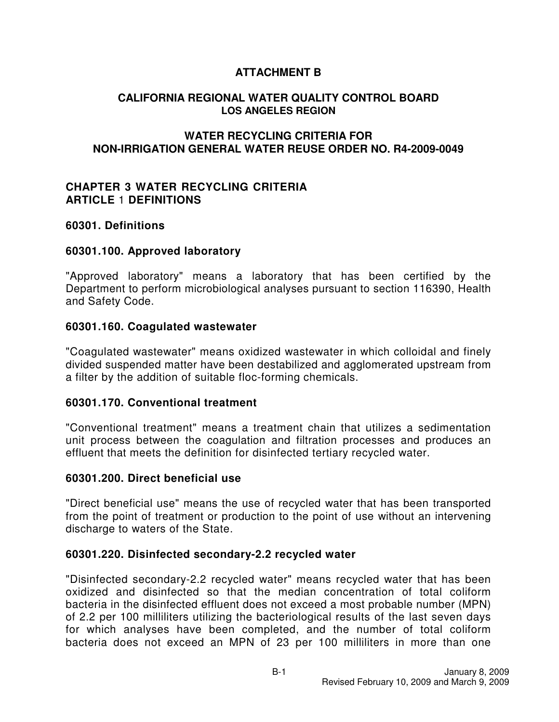# **ATTACHMENT B**

## **CALIFORNIA REGIONAL WATER QUALITY CONTROL BOARD LOS ANGELES REGION**

## **WATER RECYCLING CRITERIA FOR NON-IRRIGATION GENERAL WATER REUSE ORDER NO. R4-2009-0049**

# **CHAPTER 3 WATER RECYCLING CRITERIA ARTICLE** 1 **DEFINITIONS**

# **60301. Definitions**

# **60301.100. Approved laboratory**

 "Approved laboratory" means a laboratory that has been certified by the Department to perform microbiological analyses pursuant to section 116390, Health and Safety Code.

## **60301.160. Coagulated wastewater**

 "Coagulated wastewater" means oxidized wastewater in which colloidal and finely divided suspended matter have been destabilized and agglomerated upstream from a filter by the addition of suitable floc-forming chemicals.

## **60301.170. Conventional treatment**

 "Conventional treatment" means a treatment chain that utilizes a sedimentation unit process between the coagulation and filtration processes and produces an effluent that meets the definition for disinfected tertiary recycled water.

### **60301.200. Direct beneficial use**

 "Direct beneficial use" means the use of recycled water that has been transported from the point of treatment or production to the point of use without an intervening discharge to waters of the State.

## **60301.220. Disinfected secondary-2.2 recycled water**

 "Disinfected secondary-2.2 recycled water" means recycled water that has been oxidized and disinfected so that the median concentration of total coliform bacteria in the disinfected effluent does not exceed a most probable number (MPN) of 2.2 per 100 milliliters utilizing the bacteriological results of the last seven days for which analyses have been completed, and the number of total coliform bacteria does not exceed an MPN of 23 per 100 milliliters in more than one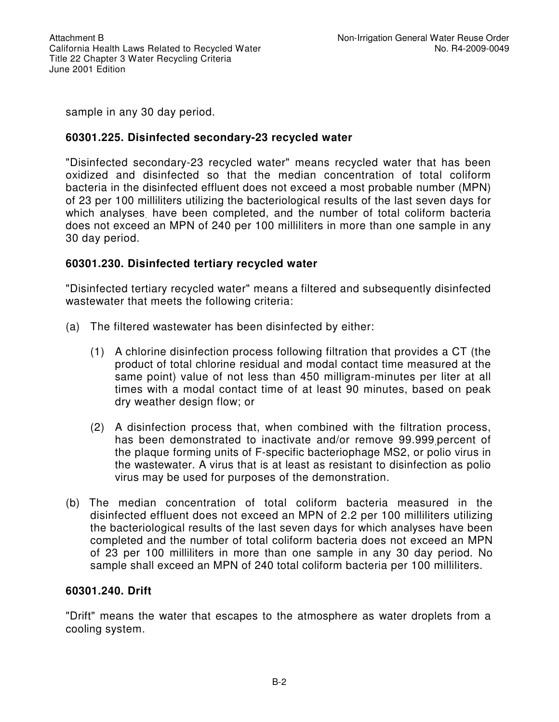sample in any 30 day period.

# **60301.225. Disinfected secondary-23 recycled water**

 "Disinfected secondary-23 recycled water" means recycled water that has been oxidized and disinfected so that the median concentration of total coliform bacteria in the disinfected effluent does not exceed a most probable number (MPN) of 23 per 100 milliliters utilizing the bacteriological results of the last seven days for which analyses. have been completed, and the number of total coliform bacteria does not exceed an MPN of 240 per 100 milliliters in more than one sample in any 30 day period.

# **60301.230. Disinfected tertiary recycled water**

 "Disinfected tertiary recycled water" means a filtered and subsequently disinfected wastewater that meets the following criteria:

- (a) The filtered wastewater has been disinfected by either:
	- (1) A chlorine disinfection process following filtration that provides a CT (the product of total chlorine residual and modal contact time measured at the same point) value of not less than 450 milligram-minutes per liter at all times with a modal contact time of at least 90 minutes, based on peak dry weather design flow; or
	- (2) A disinfection process that, when combined with the filtration process, has been demonstrated to inactivate and/or remove 99.999,percent of the plaque forming units of F-specific bacteriophage MS2, or polio virus in the wastewater. A virus that is at least as resistant to disinfection as polio virus may be used for purposes of the demonstration.
- (b) The median concentration of total coliform bacteria measured in the disinfected effluent does not exceed an MPN of 2.2 per 100 milliliters utilizing the bacteriological results of the last seven days for which analyses have been completed and the number of total coliform bacteria does not exceed an MPN of 23 per 100 milliliters in more than one sample in any 30 day period. No sample shall exceed an MPN of 240 total coliform bacteria per 100 milliliters.

## **60301.240. Drift**

 "Drift" means the water that escapes to the atmosphere as water droplets from a cooling system.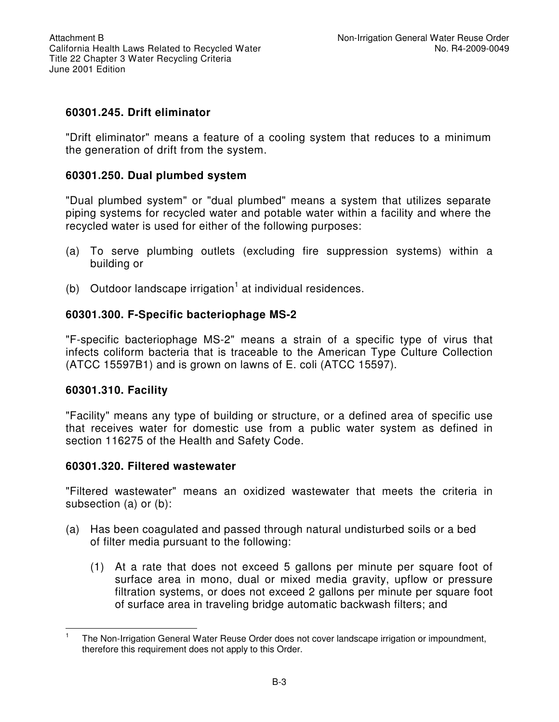## **60301.245. Drift eliminator**

 "Drift eliminator" means a feature of a cooling system that reduces to a minimum the generation of drift from the system.

# **60301.250. Dual plumbed system**

 "Dual plumbed system" or "dual plumbed" means a system that utilizes separate piping systems for recycled water and potable water within a facility and where the recycled water is used for either of the following purposes:

- (a) To serve plumbing outlets (excluding fire suppression systems) within a building or
- (b) Outdoor landscape irrigation<sup>1</sup> at individual residences.

## **60301.300. F-Specific bacteriophage MS-2**

 "F-specific bacteriophage MS-2" means a strain of a specific type of virus that infects coliform bacteria that is traceable to the American Type Culture Collection (ATCC 15597B1) and is grown on lawns of E. coli (ATCC 15597).

# **60301.310. Facility**

 "Facility" means any type of building or structure, or a defined area of specific use that receives water for domestic use from a public water system as defined in section 116275 of the Health and Safety Code.

# **60301.320. Filtered wastewater**

 "Filtered wastewater" means an oxidized wastewater that meets the criteria in subsection (a) or (b):

- (a) Has been coagulated and passed through natural undisturbed soils or a bed of filter media pursuant to the following:
	- (1) At a rate that does not exceed 5 gallons per minute per square foot of surface area in mono, dual or mixed media gravity, upflow or pressure filtration systems, or does not exceed 2 gallons per minute per square foot of surface area in traveling bridge automatic backwash filters; and

 $\overline{a}$  therefore this requirement does not apply to this Order. <sup>1</sup> The Non-Irrigation General Water Reuse Order does not cover landscape irrigation or impoundment,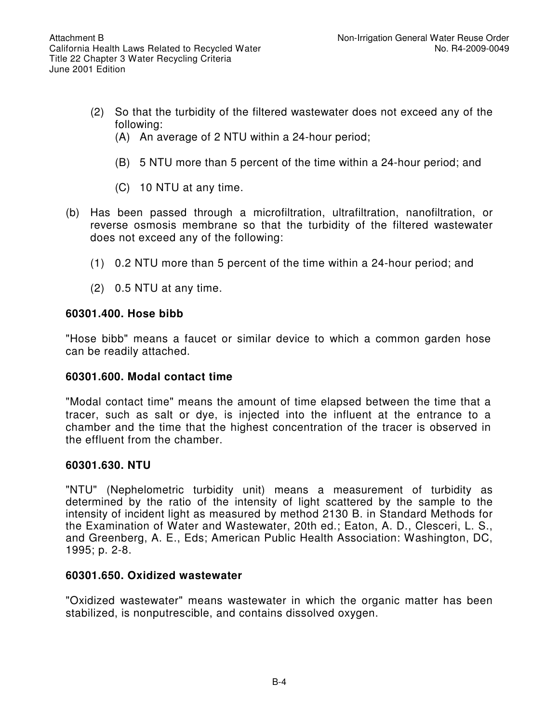- (2) So that the turbidity of the filtered wastewater does not exceed any of the following:
	- (A) An average of 2 NTU within a 24-hour period;
	- (B) 5 NTU more than 5 percent of the time within a 24-hour period; and
	- (C) 10 NTU at any time.
- (b) Has been passed through a microfiltration, ultrafiltration, nanofiltration, or reverse osmosis membrane so that the turbidity of the filtered wastewater does not exceed any of the following:
	- (1) 0.2 NTU more than 5 percent of the time within a 24-hour period; and
	- (2) 0.5 NTU at any time.

# **60301.400. Hose bibb**

 "Hose bibb" means a faucet or similar device to which a common garden hose can be readily attached.

### **60301.600. Modal contact time**

 "Modal contact time" means the amount of time elapsed between the time that a tracer, such as salt or dye, is injected into the influent at the entrance to a chamber and the time that the highest concentration of the tracer is observed in the effluent from the chamber.

### **60301.630. NTU**

 "NTU" (Nephelometric turbidity unit) means a measurement of turbidity as determined by the ratio of the intensity of light scattered by the sample to the intensity of incident light as measured by method 2130 B. in Standard Methods for the Examination of Water and Wastewater, 20th ed.; Eaton, A. D., Clesceri, L. S., and Greenberg, A. E., Eds; American Public Health Association: Washington, DC, 1995; p. 2-8.

### **60301.650. Oxidized wastewater**

 "Oxidized wastewater" means wastewater in which the organic matter has been stabilized, is nonputrescible, and contains dissolved oxygen.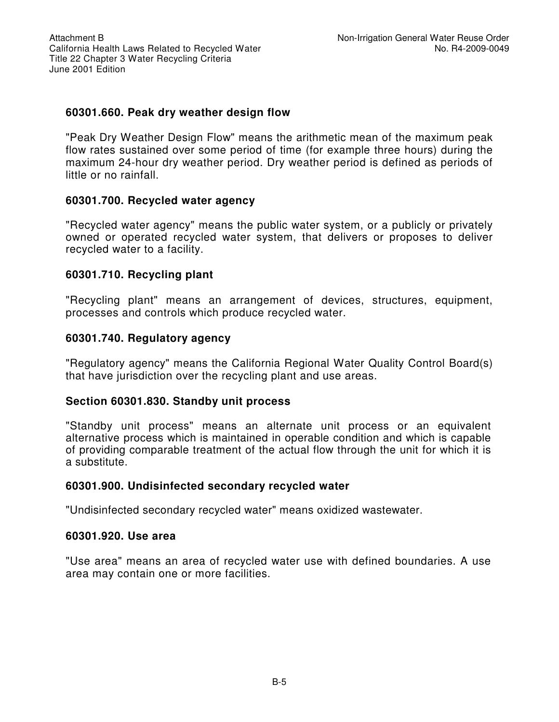# **60301.660. Peak dry weather design flow**

 "Peak Dry Weather Design Flow" means the arithmetic mean of the maximum peak flow rates sustained over some period of time (for example three hours) during the maximum 24-hour dry weather period. Dry weather period is defined as periods of little or no rainfall.

## **60301.700. Recycled water agency**

 "Recycled water agency" means the public water system, or a publicly or privately owned or operated recycled water system, that delivers or proposes to deliver recycled water to a facility.

### **60301.710. Recycling plant**

 "Recycling plant" means an arrangement of devices, structures, equipment, processes and controls which produce recycled water.

### **60301.740. Regulatory agency**

 "Regulatory agency" means the California Regional Water Quality Control Board(s) that have jurisdiction over the recycling plant and use areas.

# **Section 60301.830. Standby unit process**

 "Standby unit process" means an alternate unit process or an equivalent alternative process which is maintained in operable condition and which is capable of providing comparable treatment of the actual flow through the unit for which it is a substitute.

# **60301.900. Undisinfected secondary recycled water**

"Undisinfected secondary recycled water" means oxidized wastewater.

## **60301.920. Use area**

 "Use area" means an area of recycled water use with defined boundaries. A use area may contain one or more facilities.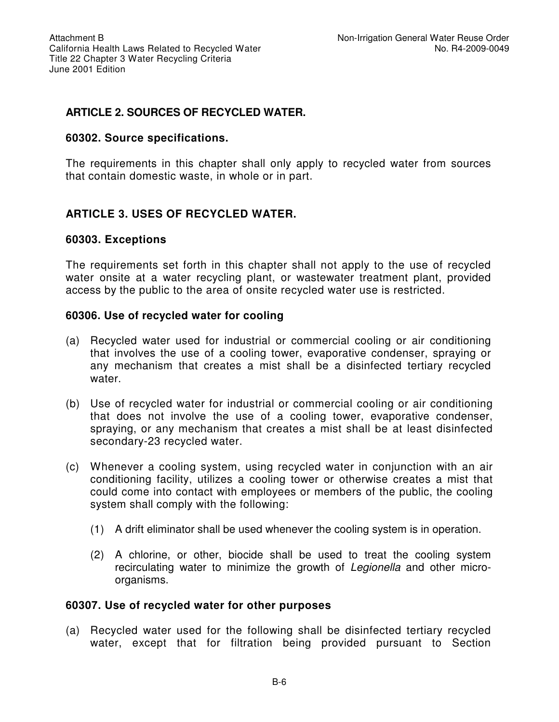# **ARTICLE 2. SOURCES OF RECYCLED WATER.**

### **60302. Source specifications.**

 The requirements in this chapter shall only apply to recycled water from sources that contain domestic waste, in whole or in part.

# **ARTICLE 3. USES OF RECYCLED WATER.**

#### **60303. Exceptions**

 The requirements set forth in this chapter shall not apply to the use of recycled water onsite at a water recycling plant, or wastewater treatment plant, provided access by the public to the area of onsite recycled water use is restricted.

### **60306. Use of recycled water for cooling**

- (a) Recycled water used for industrial or commercial cooling or air conditioning that involves the use of a cooling tower, evaporative condenser, spraying or any mechanism that creates a mist shall be a disinfected tertiary recycled water.
- (b) Use of recycled water for industrial or commercial cooling or air conditioning that does not involve the use of a cooling tower, evaporative condenser, spraying, or any mechanism that creates a mist shall be at least disinfected secondary-23 recycled water.
- (c) Whenever a cooling system, using recycled water in conjunction with an air conditioning facility, utilizes a cooling tower or otherwise creates a mist that could come into contact with employees or members of the public, the cooling system shall comply with the following:
	- (1) A drift eliminator shall be used whenever the cooling system is in operation.
	- recirculating water to minimize the growth of *Legionella* and other micro-(2) A chlorine, or other, biocide shall be used to treat the cooling system organisms.

#### **60307. Use of recycled water for other purposes**

 (a) Recycled water used for the following shall be disinfected tertiary recycled water, except that for filtration being provided pursuant to Section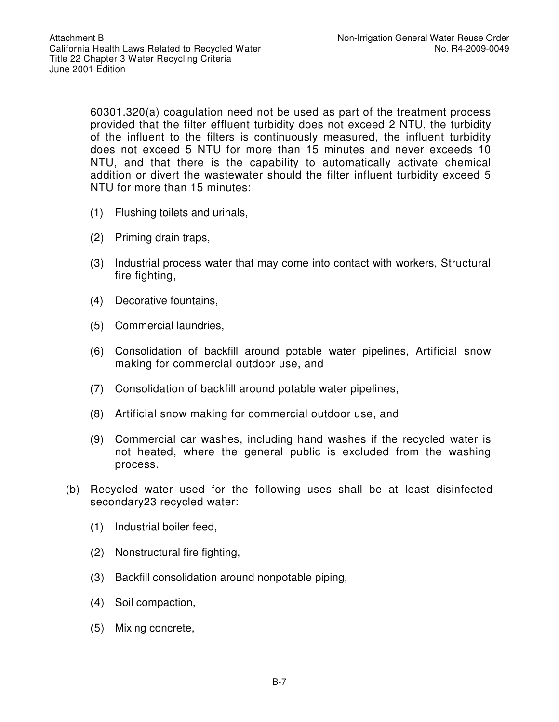60301.320(a) coagulation need not be used as part of the treatment process provided that the filter effluent turbidity does not exceed 2 NTU, the turbidity of the influent to the filters is continuously measured, the influent turbidity does not exceed 5 NTU for more than 15 minutes and never exceeds 10 NTU, and that there is the capability to automatically activate chemical addition or divert the wastewater should the filter influent turbidity exceed 5 NTU for more than 15 minutes:

- (1) Flushing toilets and urinals,
- (2) Priming drain traps,
- (3) Industrial process water that may come into contact with workers, Structural fire fighting,
- (4) Decorative fountains,
- (5) Commercial laundries,
- (6) Consolidation of backfill around potable water pipelines, Artificial snow making for commercial outdoor use, and
- (7) Consolidation of backfill around potable water pipelines,
- (8) Artificial snow making for commercial outdoor use, and
- (9) Commercial car washes, including hand washes if the recycled water is not heated, where the general public is excluded from the washing process.
- (b) Recycled water used for the following uses shall be at least disinfected secondary23 recycled water:
	- (1) Industrial boiler feed,
	- (2) Nonstructural fire fighting,
	- (3) Backfill consolidation around nonpotable piping,
	- (4) Soil compaction,
	- (5) Mixing concrete,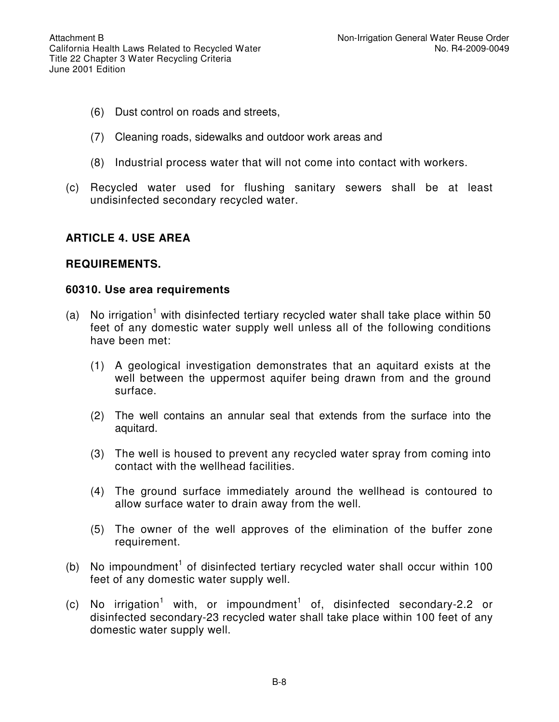- (6) Dust control on roads and streets,
- (7) Cleaning roads, sidewalks and outdoor work areas and
- (8) Industrial process water that will not come into contact with workers.
- (c) Recycled water used for flushing sanitary sewers shall be at least undisinfected secondary recycled water.

# **ARTICLE 4. USE AREA**

#### **REQUIREMENTS.**

#### **REQUIREMENTS. 60310. Use area requirements**

- (a) No irrigation<sup>1</sup> with disinfected tertiary recycled water shall take place within 50 feet of any domestic water supply well unless all of the following conditions have been met:
	- (1) A geological investigation demonstrates that an aquitard exists at the well between the uppermost aquifer being drawn from and the ground surface.
	- (2) The well contains an annular seal that extends from the surface into the aquitard.
	- contact with the wellhead facilities. (3) The well is housed to prevent any recycled water spray from coming into
	- (4) The ground surface immediately around the wellhead is contoured to allow surface water to drain away from the well.
	- (5) The owner of the well approves of the elimination of the buffer zone requirement.
- (b) No impoundment<sup>1</sup> of disinfected tertiary recycled water shall occur within 100 feet of any domestic water supply well.
- $(c)$  disinfected secondary-23 recycled water shall take place within 100 feet of any domestic water supply well. No irrigation<sup>1</sup> with, or impoundment<sup>1</sup> of, disinfected secondary-2.2 or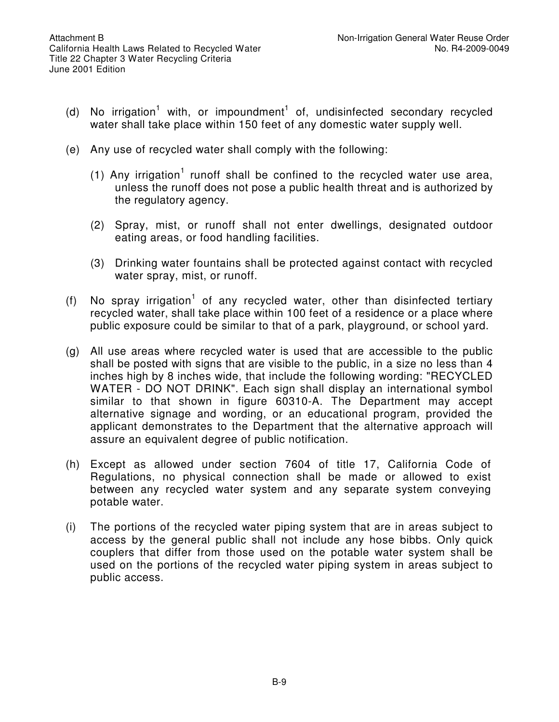- (d) No irrigation<sup>1</sup> with, or impoundment<sup>1</sup> of, undisinfected secondary recycled water shall take place within 150 feet of any domestic water supply well.
- (e) Any use of recycled water shall comply with the following:
	- (1) Any irrigation<sup>1</sup> runoff shall be confined to the recycled water use area, unless the runoff does not pose a public health threat and is authorized by the regulatory agency.
	- (2) Spray, mist, or runoff shall not enter dwellings, designated outdoor eating areas, or food handling facilities.
	- (3) Drinking water fountains shall be protected against contact with recycled water spray, mist, or runoff.
- $(f)$  recycled water, shall take place within 100 feet of a residence or a place where public exposure could be similar to that of a park, playground, or school yard. No spray irrigation<sup>1</sup> of any recycled water, other than disinfected tertiary
- (g) All use areas where recycled water is used that are accessible to the public shall be posted with signs that are visible to the public, in a size no less than 4 inches high by 8 inches wide, that include the following wording: "RECYCLED WATER - DO NOT DRINK". Each sign shall display an international symbol similar to that shown in figure 60310-A. The Department may accept alternative signage and wording, or an educational program, provided the applicant demonstrates to the Department that the alternative approach will assure an equivalent degree of public notification.
- (h) Except as allowed under section 7604 of title 17, California Code of Regulations, no physical connection shall be made or allowed to exist between any recycled water system and any separate system conveying potable water.
- $(i)$  access by the general public shall not include any hose bibbs. Only quick couplers that differ from those used on the potable water system shall be used on the portions of the recycled water piping system in areas subject to public access. The portions of the recycled water piping system that are in areas subject to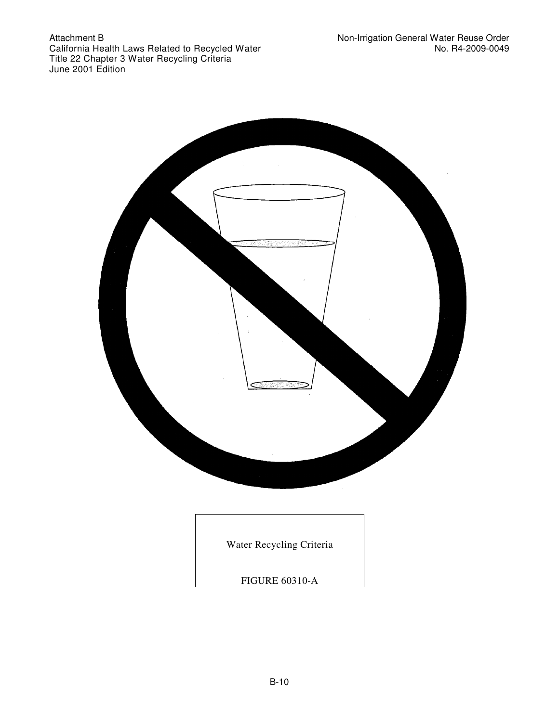Attachment B California Health Laws Related to Recycled Water No. R4-2009-0049 No. R4-2009-0049 Title 22 Chapter 3 Water Recycling Criteria June 2001 Edition



Water Recycling Criteria

FIGURE 60310-A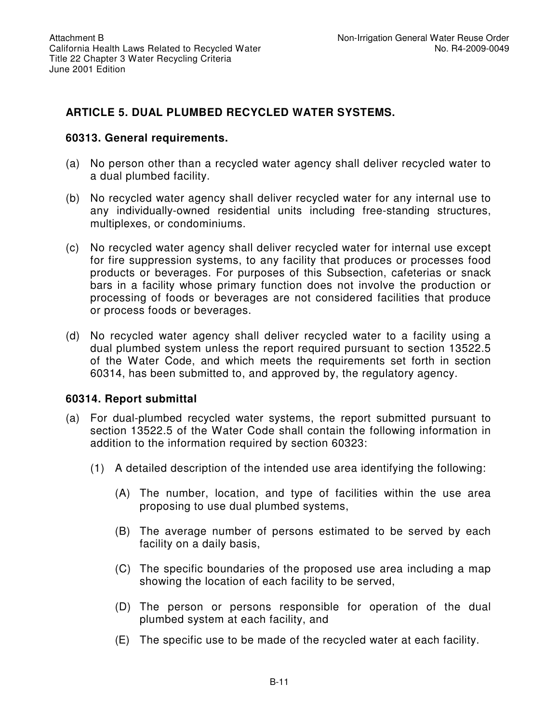# **ARTICLE 5. DUAL PLUMBED RECYCLED WATER SYSTEMS.**

### **60313. General requirements.**

- (a) No person other than a recycled water agency shall deliver recycled water to a dual plumbed facility.
- any individually-owned residential units including free-standing structures, multiplexes, or condominiums. (b) No recycled water agency shall deliver recycled water for any internal use to
- (c) No recycled water agency shall deliver recycled water for internal use except for fire suppression systems, to any facility that produces or processes food products or beverages. For purposes of this Subsection, cafeterias or snack bars in a facility whose primary function does not involve the production or processing of foods or beverages are not considered facilities that produce or process foods or beverages.
- (d) No recycled water agency shall deliver recycled water to a facility using a dual plumbed system unless the report required pursuant to section 13522.5 of the Water Code, and which meets the requirements set forth in section 60314, has been submitted to, and approved by, the regulatory agency.

### **60314. Report submittal**

- (a) For dual-plumbed recycled water systems, the report submitted pursuant to section 13522.5 of the Water Code shall contain the following information in addition to the information required by section 60323:
	- (1) A detailed description of the intended use area identifying the following:
		- (A) The number, location, and type of facilities within the use area proposing to use dual plumbed systems,
		- (B) The average number of persons estimated to be served by each facility on a daily basis,
		- (C) The specific boundaries of the proposed use area including a map showing the location of each facility to be served,
		- (D) The person or persons responsible for operation of the dual plumbed system at each facility, and
		- (E) The specific use to be made of the recycled water at each facility.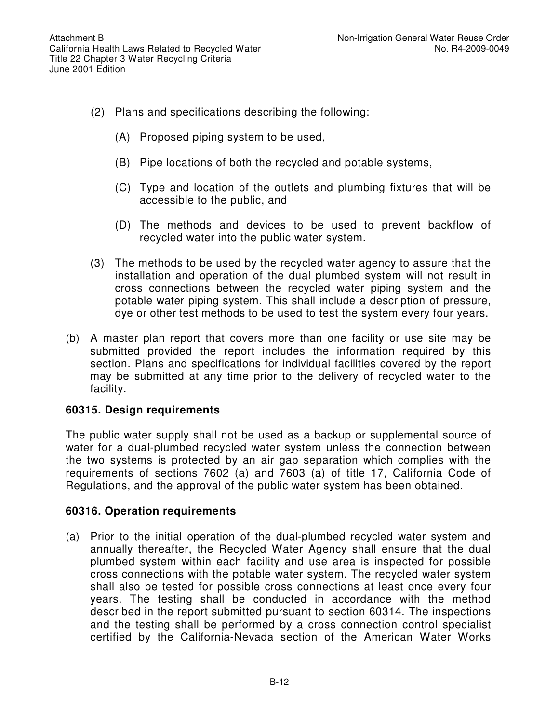- (2) Plans and specifications describing the following:
	- (A) Proposed piping system to be used,
	- (B) Pipe locations of both the recycled and potable systems,
	- (C) Type and location of the outlets and plumbing fixtures that will be accessible to the public, and
	- (D) The methods and devices to be used to prevent backflow of recycled water into the public water system.
- (3) The methods to be used by the recycled water agency to assure that the installation and operation of the dual plumbed system will not result in cross connections between the recycled water piping system and the potable water piping system. This shall include a description of pressure, dye or other test methods to be used to test the system every four years.
- (b) A master plan report that covers more than one facility or use site may be submitted provided the report includes the information required by this section. Plans and specifications for individual facilities covered by the report may be submitted at any time prior to the delivery of recycled water to the facility.

## **60315. Design requirements**

 The public water supply shall not be used as a backup or supplemental source of water for a dual-plumbed recycled water system unless the connection between the two systems is protected by an air gap separation which complies with the requirements of sections 7602 (a) and 7603 (a) of title 17, California Code of Regulations, and the approval of the public water system has been obtained.

## **60316. Operation requirements**

 $(a)$  annually thereafter, the Recycled Water Agency shall ensure that the dual plumbed system within each facility and use area is inspected for possible cross connections with the potable water system. The recycled water system shall also be tested for possible cross connections at least once every four years. The testing shall be conducted in accordance with the method described in the report submitted pursuant to section 60314. The inspections and the testing shall be performed by a cross connection control specialist certified by the California-Nevada section of the American Water Works Prior to the initial operation of the dual-plumbed recycled water system and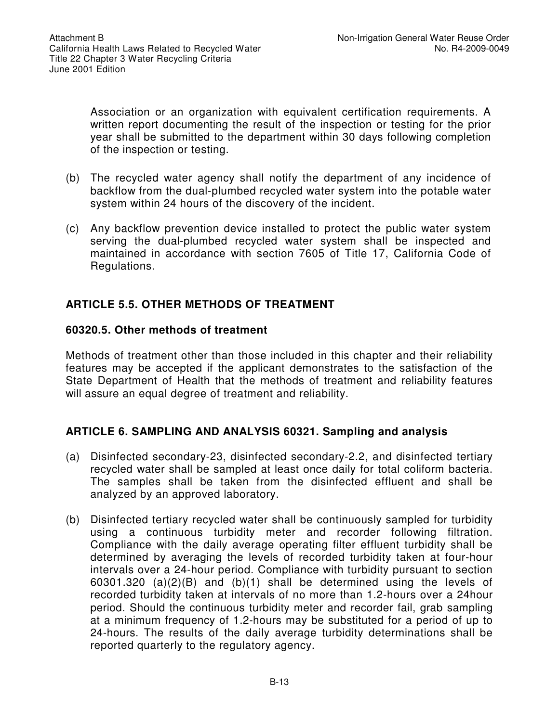Association or an organization with equivalent certification requirements. A written report documenting the result of the inspection or testing for the prior year shall be submitted to the department within 30 days following completion of the inspection or testing.

- (b) The recycled water agency shall notify the department of any incidence of backflow from the dual-plumbed recycled water system into the potable water system within 24 hours of the discovery of the incident.
- $(c)$  serving the dual-plumbed recycled water system shall be inspected and maintained in accordance with section 7605 of Title 17, California Code of Any backflow prevention device installed to protect the public water system Regulations.

# **ARTICLE 5.5. OTHER METHODS OF TREATMENT**

# **60320.5. Other methods of treatment**

 Methods of treatment other than those included in this chapter and their reliability features may be accepted if the applicant demonstrates to the satisfaction of the State Department of Health that the methods of treatment and reliability features will assure an equal degree of treatment and reliability.

# **ARTICLE 6. SAMPLING AND ANALYSIS 60321. Sampling and analysis**

- (a) Disinfected secondary-23, disinfected secondary-2.2, and disinfected tertiary recycled water shall be sampled at least once daily for total coliform bacteria. The samples shall be taken from the disinfected effluent and shall be analyzed by an approved laboratory.
- (b) Disinfected tertiary recycled water shall be continuously sampled for turbidity using a continuous turbidity meter and recorder following filtration. Compliance with the daily average operating filter effluent turbidity shall be determined by averaging the levels of recorded turbidity taken at four-hour intervals over a 24-hour period. Compliance with turbidity pursuant to section 60301.320 (a)(2)(B) and (b)(1) shall be determined using the levels of recorded turbidity taken at intervals of no more than 1.2-hours over a 24hour period. Should the continuous turbidity meter and recorder fail, grab sampling at a minimum frequency of 1.2-hours may be substituted for a period of up to 24-hours. The results of the daily average turbidity determinations shall be reported quarterly to the regulatory agency.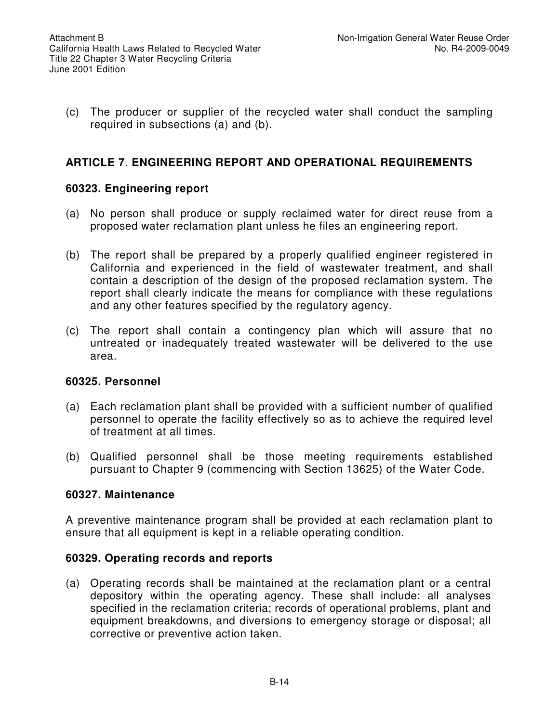(c) The producer or supplier of the recycled water shall conduct the sampling required in subsections (a) and (b).

# **ARTICLE 7**. **ENGINEERING REPORT AND OPERATIONAL REQUIREMENTS**

## **60323. Engineering report**

- (a) No person shall produce or supply reclaimed water for direct reuse from a proposed water reclamation plant unless he files an engineering report.
- (b) The report shall be prepared by a properly qualified engineer registered in California and experienced in the field of wastewater treatment, and shall contain a description of the design of the proposed reclamation system. The report shall clearly indicate the means for compliance with these regulations and any other features specified by the regulatory agency.
- (c) The report shall contain a contingency plan which will assure that no untreated or inadequately treated wastewater will be delivered to the use area.

#### **60325. Personnel**

- (a) Each reclamation plant shall be provided with a sufficient number of qualified personnel to operate the facility effectively so as to achieve the required level of treatment at all times.
- (b) Qualified personnel shall be those meeting requirements established pursuant to Chapter 9 (commencing with Section 13625) of the Water Code.

#### **60327. Maintenance**

 A preventive maintenance program shall be provided at each reclamation plant to ensure that all equipment is kept in a reliable operating condition.

## **60329. Operating records and reports**

 (a) Operating records shall be maintained at the reclamation plant or a central depository within the operating agency. These shall include: all analyses specified in the reclamation criteria; records of operational problems, plant and equipment breakdowns, and diversions to emergency storage or disposal; all corrective or preventive action taken.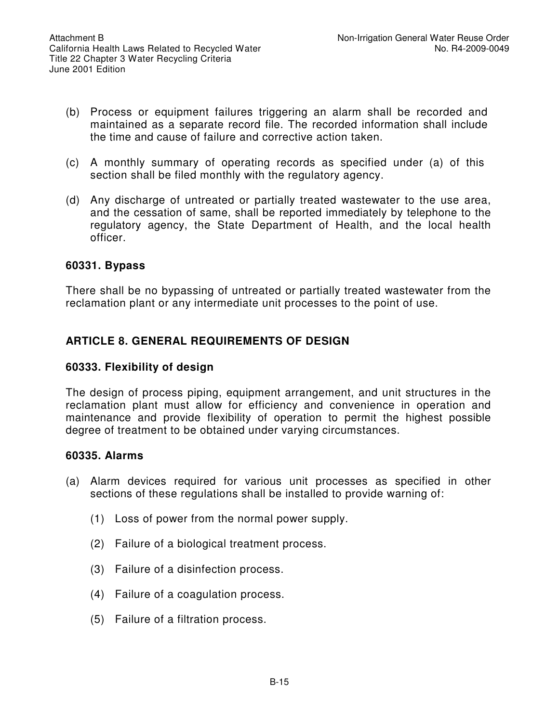- (b) Process or equipment failures triggering an alarm shall be recorded and maintained as a separate record file. The recorded information shall include the time and cause of failure and corrective action taken.
- (c) A monthly summary of operating records as specified under (a) of this section shall be filed monthly with the regulatory agency.
- (d) Any discharge of untreated or partially treated wastewater to the use area, and the cessation of same, shall be reported immediately by telephone to the regulatory agency, the State Department of Health, and the local health officer.

## **60331. Bypass**

 There shall be no bypassing of untreated or partially treated wastewater from the reclamation plant or any intermediate unit processes to the point of use.

# **ARTICLE 8. GENERAL REQUIREMENTS OF DESIGN**

### **60333. Flexibility of design**

 The design of process piping, equipment arrangement, and unit structures in the reclamation plant must allow for efficiency and convenience in operation and maintenance and provide flexibility of operation to permit the highest possible degree of treatment to be obtained under varying circumstances.

### **60335. Alarms**

- (a) Alarm devices required for various unit processes as specified in other sections of these regulations shall be installed to provide warning of:
	- (1) Loss of power from the normal power supply.
	- (2) Failure of a biological treatment process.
	- (3) Failure of a disinfection process.
	- (4) Failure of a coagulation process.
	- (5) Failure of a filtration process.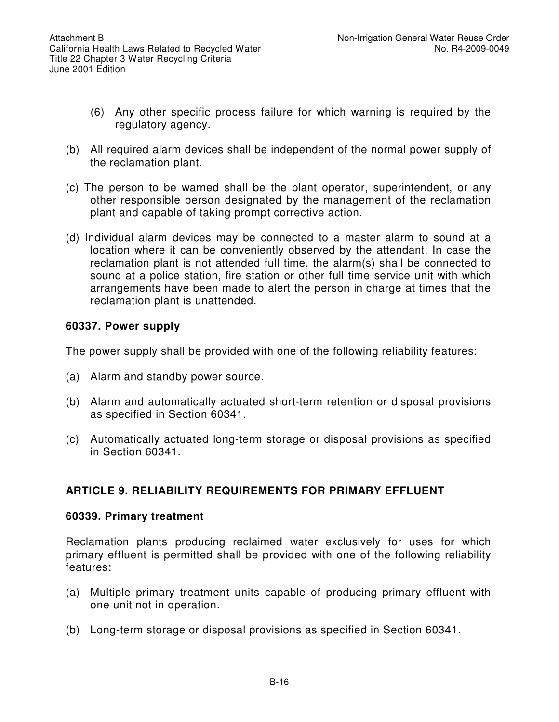- (6) Any other specific process failure for which warning is required by the regulatory agency.
- (b) All required alarm devices shall be independent of the normal power supply of the reclamation plant.
- (c) The person to be warned shall be the plant operator, superintendent, or any other responsible person designated by the management of the reclamation plant and capable of taking prompt corrective action.
- (d) Individual alarm devices may be connected to a master alarm to sound at a location where it can be conveniently observed by the attendant. In case the reclamation plant is not attended full time, the alarm(s) shall be connected to sound at a police station, fire station or other full time service unit with which arrangements have been made to alert the person in charge at times that the reclamation plant is unattended.

## **60337. Power supply**

The power supply shall be provided with one of the following reliability features:

- (a) Alarm and standby power source.
- (b) Alarm and automatically actuated short-term retention or disposal provisions as specified in Section 60341.
- (c) Automatically actuated long-term storage or disposal provisions as specified in Section 60341.

# **ARTICLE 9. RELIABILITY REQUIREMENTS FOR PRIMARY EFFLUENT**

### **60339. Primary treatment**

 Reclamation plants producing reclaimed water exclusively for uses for which primary effluent is permitted shall be provided with one of the following reliability features:

- (a) Multiple primary treatment units capable of producing primary effluent with one unit not in operation.
- (b) Long-term storage or disposal provisions as specified in Section 60341.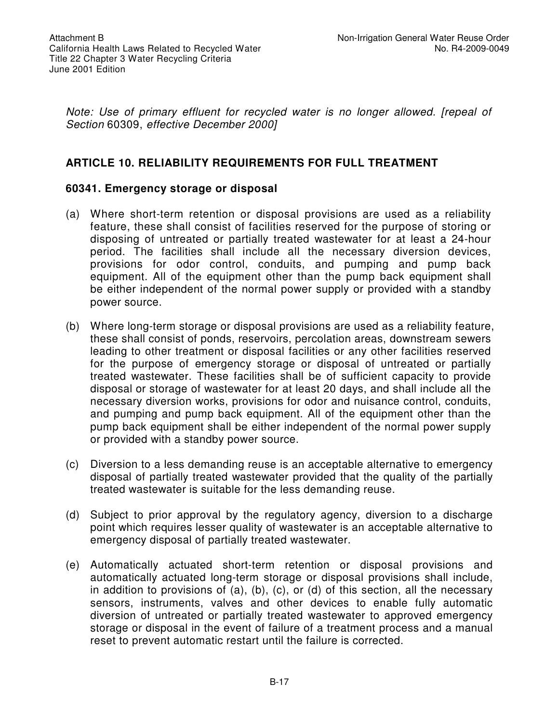Note: Use of primary effluent for recycled water is no longer allowed. [repeal of  *Section* 60309, *effective December 2000]* 

## **ARTICLE 10. RELIABILITY REQUIREMENTS FOR FULL TREATMENT**

## **60341. Emergency storage or disposal**

- (a) Where short-term retention or disposal provisions are used as a reliability feature, these shall consist of facilities reserved for the purpose of storing or disposing of untreated or partially treated wastewater for at least a 24-hour period. The facilities shall include all the necessary diversion devices, provisions for odor control, conduits, and pumping and pump back equipment. All of the equipment other than the pump back equipment shall be either independent of the normal power supply or provided with a standby power source.
- (b) Where long-term storage or disposal provisions are used as a reliability feature, these shall consist of ponds, reservoirs, percolation areas, downstream sewers leading to other treatment or disposal facilities or any other facilities reserved for the purpose of emergency storage or disposal of untreated or partially treated wastewater. These facilities shall be of sufficient capacity to provide disposal or storage of wastewater for at least 20 days, and shall include all the necessary diversion works, provisions for odor and nuisance control, conduits, and pumping and pump back equipment. All of the equipment other than the pump back equipment shall be either independent of the normal power supply or provided with a standby power source.
- (c) Diversion to a less demanding reuse is an acceptable alternative to emergency disposal of partially treated wastewater provided that the quality of the partially treated wastewater is suitable for the less demanding reuse.
- (d) Subject to prior approval by the regulatory agency, diversion to a discharge point which requires lesser quality of wastewater is an acceptable alternative to emergency disposal of partially treated wastewater.
- (e) Automatically actuated short-term retention or disposal provisions and automatically actuated long-term storage or disposal provisions shall include, in addition to provisions of (a), (b), (c), or (d) of this section, all the necessary sensors, instruments, valves and other devices to enable fully automatic diversion of untreated or partially treated wastewater to approved emergency storage or disposal in the event of failure of a treatment process and a manual reset to prevent automatic restart until the failure is corrected.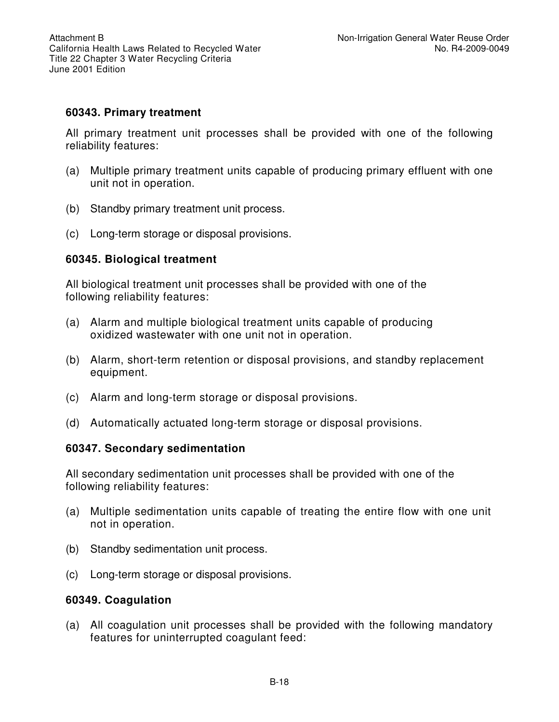## **60343. Primary treatment**

 All primary treatment unit processes shall be provided with one of the following reliability features:

- (a) Multiple primary treatment units capable of producing primary effluent with one unit not in operation.
- (b) Standby primary treatment unit process.
- (c) Long-term storage or disposal provisions.

## **60345. Biological treatment**

 All biological treatment unit processes shall be provided with one of the following reliability features:

- (a) Alarm and multiple biological treatment units capable of producing oxidized wastewater with one unit not in operation.
- (b) Alarm, short-term retention or disposal provisions, and standby replacement equipment.
- (c) Alarm and long-term storage or disposal provisions.
- (d) Automatically actuated long-term storage or disposal provisions.

#### **60347. Secondary sedimentation**

 All secondary sedimentation unit processes shall be provided with one of the following reliability features:

- (a) Multiple sedimentation units capable of treating the entire flow with one unit not in operation.
- (b) Standby sedimentation unit process.
- (c) Long-term storage or disposal provisions.

#### **60349. Coagulation**

 (a) All coagulation unit processes shall be provided with the following mandatory features for uninterrupted coagulant feed: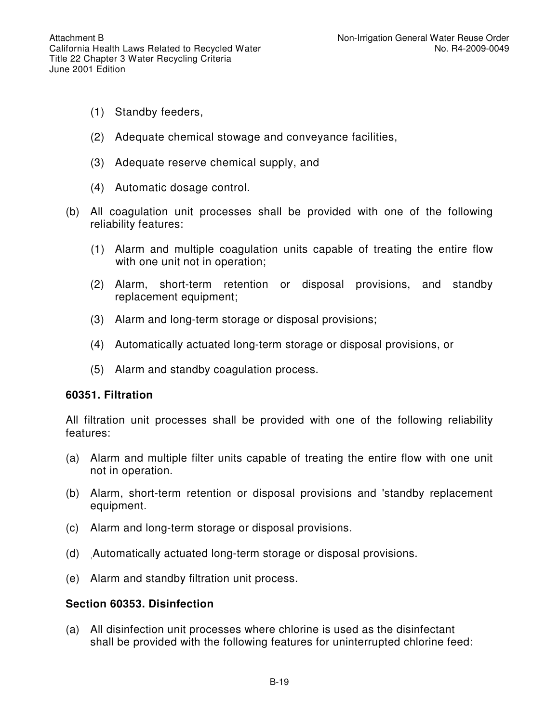- (1) Standby feeders,
- (2) Adequate chemical stowage and conveyance facilities,
- (3) Adequate reserve chemical supply, and
- (4) Automatic dosage control.
- (b) All coagulation unit processes shall be provided with one of the following reliability features:
	- (1) Alarm and multiple coagulation units capable of treating the entire flow with one unit not in operation;
	- (2) Alarm, short-term retention or disposal provisions, and standby replacement equipment;
	- (3) Alarm and long-term storage or disposal provisions;
	- (4) Automatically actuated long-term storage or disposal provisions, or
	- (5) Alarm and standby coagulation process.

# **60351. Filtration**

 All filtration unit processes shall be provided with one of the following reliability features:

- (a) Alarm and multiple filter units capable of treating the entire flow with one unit not in operation.
- (b) Alarm, short-term retention or disposal provisions and 'standby replacement equipment.
- (c) Alarm and long-term storage or disposal provisions.
- (d) ,Automatically actuated long-term storage or disposal provisions.
- (e) Alarm and standby filtration unit process.

## **Section 60353. Disinfection**

 (a) All disinfection unit processes where chlorine is used as the disinfectant shall be provided with the following features for uninterrupted chlorine feed: